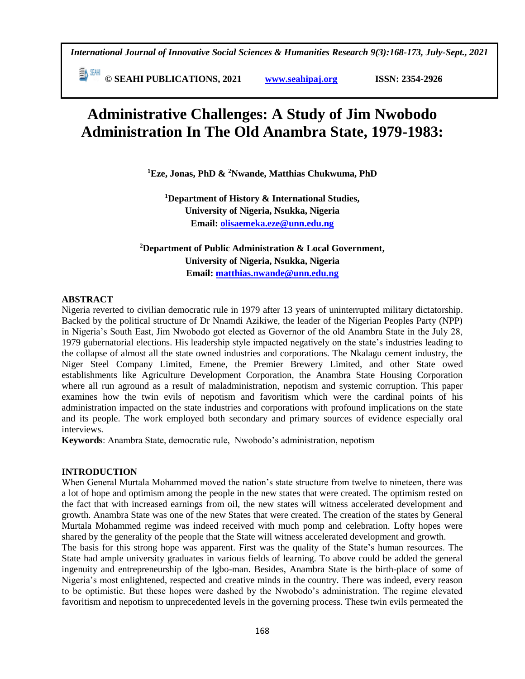*International Journal of Innovative Social Sciences & Humanities Research 9(3):168-173, July-Sept., 2021*

 **© SEAHI PUBLICATIONS, 2021 [www.seahipaj.org](http://www.seahipaj.org/) ISSN: 2354-2926** 

# **Administrative Challenges: A Study of Jim Nwobodo Administration In The Old Anambra State, 1979-1983:**

**<sup>1</sup>Eze, Jonas, PhD & <sup>2</sup>Nwande, Matthias Chukwuma, PhD**

**<sup>1</sup>Department of History & International Studies, University of Nigeria, Nsukka, Nigeria Email: [olisaemeka.eze@unn.edu.ng](mailto:olisaemeka.eze@unn.edu.ng)**

**<sup>2</sup>Department of Public Administration & Local Government, University of Nigeria, Nsukka, Nigeria Email: matthias.nwande@unn.edu.ng**

# **ABSTRACT**

Nigeria reverted to civilian democratic rule in 1979 after 13 years of uninterrupted military dictatorship. Backed by the political structure of Dr Nnamdi Azikiwe, the leader of the Nigerian Peoples Party (NPP) in Nigeria's South East, Jim Nwobodo got elected as Governor of the old Anambra State in the July 28, 1979 gubernatorial elections. His leadership style impacted negatively on the state's industries leading to the collapse of almost all the state owned industries and corporations. The Nkalagu cement industry, the Niger Steel Company Limited, Emene, the Premier Brewery Limited, and other State owed establishments like Agriculture Development Corporation, the Anambra State Housing Corporation where all run aground as a result of maladministration, nepotism and systemic corruption. This paper examines how the twin evils of nepotism and favoritism which were the cardinal points of his administration impacted on the state industries and corporations with profound implications on the state and its people. The work employed both secondary and primary sources of evidence especially oral interviews.

**Keywords**: Anambra State, democratic rule, Nwobodo's administration, nepotism

# **INTRODUCTION**

When General Murtala Mohammed moved the nation's state structure from twelve to nineteen, there was a lot of hope and optimism among the people in the new states that were created. The optimism rested on the fact that with increased earnings from oil, the new states will witness accelerated development and growth. Anambra State was one of the new States that were created. The creation of the states by General Murtala Mohammed regime was indeed received with much pomp and celebration. Lofty hopes were shared by the generality of the people that the State will witness accelerated development and growth.

The basis for this strong hope was apparent. First was the quality of the State's human resources. The State had ample university graduates in various fields of learning. To above could be added the general ingenuity and entrepreneurship of the Igbo-man. Besides, Anambra State is the birth-place of some of Nigeria's most enlightened, respected and creative minds in the country. There was indeed, every reason to be optimistic. But these hopes were dashed by the Nwobodo's administration. The regime elevated favoritism and nepotism to unprecedented levels in the governing process. These twin evils permeated the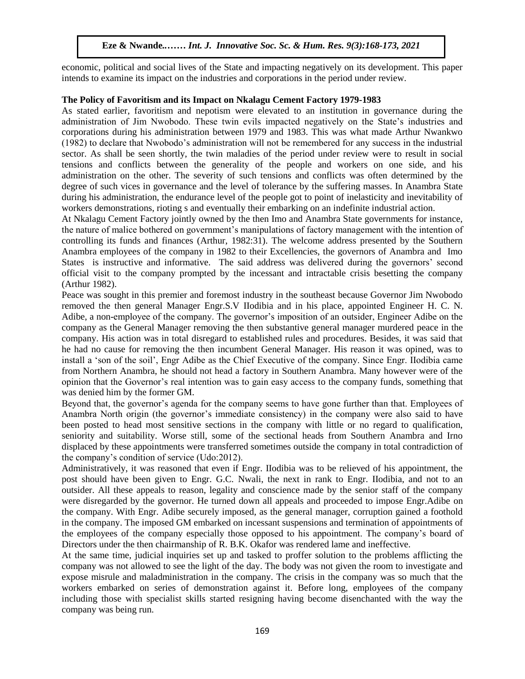economic, political and social lives of the State and impacting negatively on its development. This paper intends to examine its impact on the industries and corporations in the period under review.

#### **The Policy of Favoritism and its Impact on Nkalagu Cement Factory 1979-1983**

As stated earlier, favoritism and nepotism were elevated to an institution in governance during the administration of Jim Nwobodo. These twin evils impacted negatively on the State's industries and corporations during his administration between 1979 and 1983. This was what made Arthur Nwankwo (1982) to declare that Nwobodo's administration will not be remembered for any success in the industrial sector. As shall be seen shortly, the twin maladies of the period under review were to result in social tensions and conflicts between the generality of the people and workers on one side, and his tensions administration on the other. The severity of such tensions and conflicts was often determined by the degree of such vices in governance and the level of tolerance by the suffering masses. In Anambra State during his administration, the endurance level of the people got to point of inelasticity and inevitability of workers demonstrations, rioting s and eventually their embarking on an indefinite industrial action.

At Nkalagu Cement Factory jointly owned by the then Imo and Anambra State governments for instance, the nature of malice bothered on government's manipulations of factory management with the intention of controlling its funds and finances (Arthur, 1982:31). The welcome address presented by the Southern Anambra employees of the company in 1982 to their Excellencies, the governors of Anambra and Imo States is instructive and informative. The said address was delivered during the governors' second official visit to the company prompted by the incessant and intractable crisis besetting the company (Arthur 1982).

Peace was sought in this premier and foremost industry in the southeast because Governor Jim Nwobodo removed the then general Manager Engr.S.V IIodibia and in his place, appointed Engineer H. C. N. Adibe, a non-employee of the company. The governor's imposition of an outsider, Engineer Adibe on the company as the General Manager removing the then substantive general manager murdered peace in the company. His action was in total disregard to established rules and procedures. Besides, it was said that he had no cause for removing the then incumbent General Manager. His reason it was opined, was to install a 'son of the soil', Engr Adibe as the Chief Executive of the company. Since Engr. IIodibia came from Northern Anambra, he should not head a factory in Southern Anambra. Many however were of the opinion that the Governor's real intention was to gain easy access to the company funds, something that was denied him by the former GM.

Beyond that, the governor's agenda for the company seems to have gone further than that. Employees of Anambra North origin (the governor's immediate consistency) in the company were also said to have been posted to head most sensitive sections in the company with little or no regard to qualification, seniority and suitability. Worse still, some of the sectional heads from Southern Anambra and Irno displaced by these appointments were transferred sometimes outside the company in total contradiction of the company's condition of service (Udo:2012).

Administratively, it was reasoned that even if Engr. IIodibia was to be relieved of his appointment, the post should have been given to Engr. G.C. Nwali, the next in rank to Engr. IIodibia, and not to an outsider. All these appeals to reason, legality and conscience made by the senior staff of the company were disregarded by the governor. He turned down all appeals and proceeded to impose Engr.Adibe on the company. With Engr. Adibe securely imposed, as the general manager, corruption gained a foothold in the company. The imposed GM embarked on incessant suspensions and termination of appointments of the employees of the company especially those opposed to his appointment. The company's board of Directors under the then chairmanship of R. B.K. Okafor was rendered lame and ineffective.

At the same time, judicial inquiries set up and tasked to proffer solution to the problems afflicting the company was not allowed to see the light of the day. The body was not given the room to investigate and expose misrule and maladministration in the company. The crisis in the company was so much that the workers embarked on series of demonstration against it. Before long, employees of the company including those with specialist skills started resigning having become disenchanted with the way the company was being run.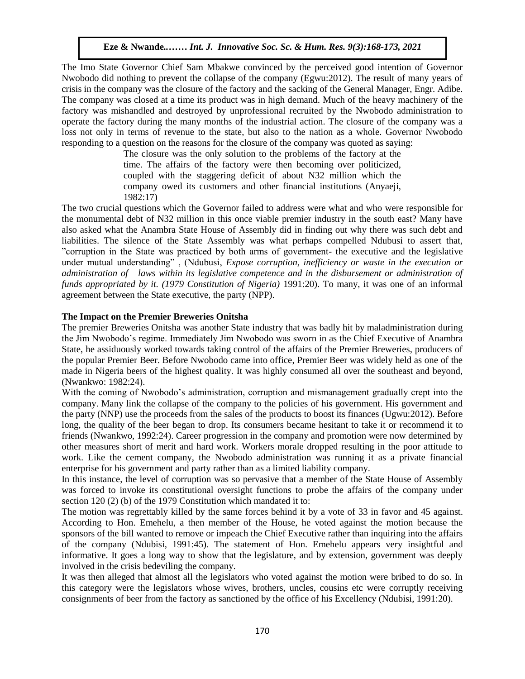The Imo State Governor Chief Sam Mbakwe convinced by the perceived good intention of Governor Nwobodo did nothing to prevent the collapse of the company (Egwu:2012). The result of many years of crisis in the company was the closure of the factory and the sacking of the General Manager, Engr. Adibe. The company was closed at a time its product was in high demand. Much of the heavy machinery of the factory was mishandled and destroyed by unprofessional recruited by the Nwobodo administration to operate the factory during the many months of the industrial action. The closure of the company was a loss not only in terms of revenue to the state, but also to the nation as a whole. Governor Nwobodo responding to a question on the reasons for the closure of the company was quoted as saying:

The closure was the only solution to the problems of the factory at the time. The affairs of the factory were then becoming over politicized, coupled with the staggering deficit of about N32 million which the company owed its customers and other financial institutions (Anyaeji, 1982:17)  $1982(11)$ 

The two crucial questions which the Governor failed to address were what and who were responsible for the monumental debt of N32 million in this once viable premier industry in the south east? Many have also asked what the Anambra State House of Assembly did in finding out why there was such debt and liabilities. The silence of the State Assembly was what perhaps compelled Ndubusi to assert that, "corruption in the State was practiced by both arms of government- the executive and the legislative under mutual understanding" , (Ndubusi, *Expose corruption, inefficiency or waste in the execution or administration of laws within its legislative competence and in the disbursement or administration of fundistration of* taws within its tegistative competence and in the atsoursement or daministration of funds appropriated by it. (1979 Constitution of Nigeria) 1991:20). To many, it was one of an informal agreement between the State executive, the party (NPP).

#### The Impact on the Premier Breweries Onitsha

The premier Breweries Onitsha was another State industry that was badly hit by maladministration during the Jim Nwobodo's regime. Immediately Jim Nwobodo was sworn in as the Chief Executive of Anambra State, he assiduously worked towards taking control of the affairs of the Premier Breweries, producers of the popular Premier Beer. Before Nwobodo came into office, Premier Beer was widely held as one of the made in Nigeria beers of the highest quality. It was highly consumed all over the southeast and beyond, (Nwankwo: 1982:24).

With the coming of Nwobodo's administration, corruption and mismanagement gradually crept into the company. Many link the collapse of the company to the policies of his government. His government and the party (NNP) use the proceeds from the sales of the products to boost its finances (Ugwu:2012). Before long, the quality of the beer began to drop. Its consumers became hesitant to take it or recommend it to friends (Nwankwo, 1992:24). Career progression in the company and promotion were now determined by other measures short of merit and hard work. Workers morale dropped resulting in the poor attitude to work. Like the cement company, the Nwobodo administration was running it as a private financial enterprise for his government and party rather than as a limited liability company.

In this instance, the level of corruption was so pervasive that a member of the State House of Assembly was forced to invoke its constitutional oversight functions to probe the affairs of the company under section 120 (2) (b) of the 1979 Constitution which mandated it to:

The motion was regrettably killed by the same forces behind it by a vote of 33 in favor and 45 against. According to Hon. Emehelu, a then member of the House, he voted against the motion because the sponsors of the bill wanted to remove or impeach the Chief Executive rather than inquiring into the affairs of the company (Ndubisi, 1991:45). The statement of Hon. Emehelu appears very insightful and informative. It goes a long way to show that the legislature, and by extension, government was deeply involved in the crisis bedeviling the company.

It was then alleged that almost all the legislators who voted against the motion were bribed to do so. In this category were the legislators whose wives, brothers, uncles, cousins etc were corruptly receiving consignments of beer from the factory as sanctioned by the office of his Excellency (Ndubisi, 1991:20).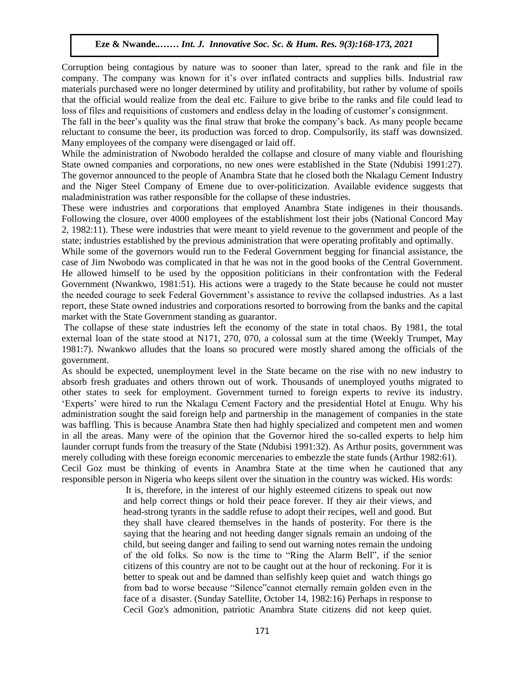Corruption being contagious by nature was to sooner than later, spread to the rank and file in the company. The company was known for it's over inflated contracts and supplies bills. Industrial raw materials purchased were no longer determined by utility and profitability, but rather by volume of spoils that the official would realize from the deal etc. Failure to give bribe to the ranks and file could lead to loss of files and requisitions of customers and endless delay in the loading of customer's consignment.

The fall in the beer's quality was the final straw that broke the company's back. As many people became reluctant to consume the beer, its production was forced to drop. Compulsorily, its staff was downsized. Many employees of the company were disengaged or laid off.

While the administration of Nwobodo heralded the collapse and closure of many viable and flourishing While the administration of TW00000 neraticed the conapse and closure of many viable and floatisining<br>State owned companies and corporations, no new ones were established in the State (Ndubisi 1991:27). The governor announced to the people of Anambra State that he closed both the Nkalagu Cement Industry and the Niger Steel Company of Emene due to over-politicization. Available evidence suggests that maladministration was rather responsible for the collapse of these industries.

These were industries and corporations that employed Anambra State indigenes in their thousands. Following the closure, over 4000 employees of the establishment lost their jobs (National Concord May 2, 1982:11). These were industries that were meant to yield revenue to the government and people of the state; industries established by the previous administration that were operating profitably and optimally.

While some of the governors would run to the Federal Government begging for financial assistance, the case of Jim Nwobodo was complicated in that he was not in the good books of the Central Government. He allowed himself to be used by the opposition politicians in their confrontation with the Federal Government (Nwankwo, 1981:51). His actions were a tragedy to the State because he could not muster the needed courage to seek Federal Government's assistance to revive the collapsed industries. As a last report, these State owned industries and corporations resorted to borrowing from the banks and the capital market with the State Government standing as guarantor.

The collapse of these state industries left the economy of the state in total chaos. By 1981, the total external loan of the state stood at N171, 270, 070, a colossal sum at the time (Weekly Trumpet, May 1981:7). Nwankwo alludes that the loans so procured were mostly shared among the officials of the government.

As should be expected, unemployment level in the State became on the rise with no new industry to absorb fresh graduates and others thrown out of work. Thousands of unemployed youths migrated to other states to seek for employment. Government turned to foreign experts to revive its industry. 'Experts' were hired to run the Nkalagu Cement Factory and the presidential Hotel at Enugu. Why his administration sought the said foreign help and partnership in the management of companies in the state was baffling. This is because Anambra State then had highly specialized and competent men and women in all the areas. Many were of the opinion that the Governor hired the so-called experts to help him launder corrupt funds from the treasury of the State (Ndubisi 1991:32). As Arthur posits, government was merely colluding with these foreign economic mercenaries to embezzle the state funds (Arthur 1982:61). Cecil Goz must be thinking of events in Anambra State at the time when he cautioned that any responsible person in Nigeria who keeps silent over the situation in the country was wicked. His words:

It is, therefore, in the interest of our highly esteemed citizens to speak out now and help correct things or hold their peace forever. If they air their views, and head-strong tyrants in the saddle refuse to adopt their recipes, well and good. But they shall have cleared themselves in the hands of posterity. For there is the saying that the hearing and not heeding danger signals remain an undoing of the child, but seeing danger and failing to send out warning notes remain the undoing of the old folks. So now is the time to "Ring the Alarm Bell", if the senior citizens of this country are not to be caught out at the hour of reckoning. For it is better to speak out and be damned than selfishly keep quiet and watch things go from bad to worse because "Silence"cannot eternally remain golden even in the face of a disaster. (Sunday Satellite, October 14, 1982:16) Perhaps in response to Cecil Goz's admonition, patriotic Anambra State citizens did not keep quiet.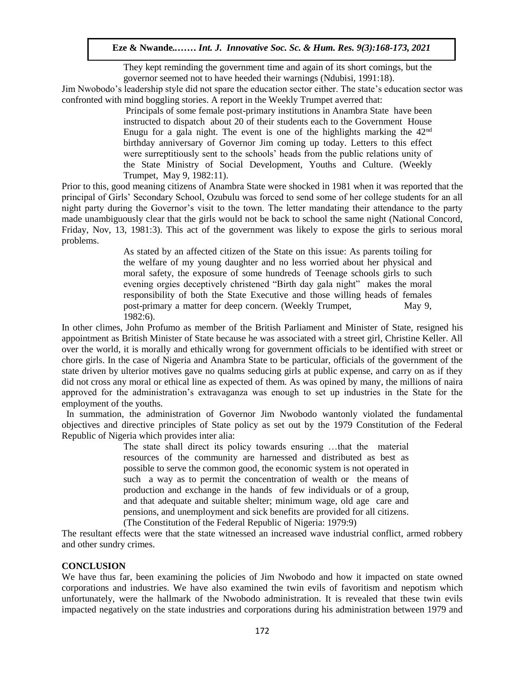They kept reminding the government time and again of its short comings, but the governor seemed not to have heeded their warnings (Ndubisi, 1991:18).

Jim Nwobodo's leadership style did not spare the education sector either. The state's education sector was confronted with mind boggling stories. A report in the Weekly Trumpet averred that:

Principals of some female post-primary institutions in Anambra State have been instructed to dispatch about 20 of their students each to the Government House Enugu for a gala night. The event is one of the highlights marking the  $42<sup>nd</sup>$ birthday anniversary of Governor Jim coming up today. Letters to this effect were surreptitiously sent to the schools' heads from the public relations unity of the State Ministry of Social Development, Youths and Culture. (Weekly Trumpet, May 9, 1982:11).

Prior to this, good meaning citizens of Anambra State were shocked in 1981 when it was reported that the principal of Girls' Secondary School, Ozubulu was forced to send some of her college students for an all principal of Office Secondary School, Ozubulu was forced to send some of her conege students for an an<br>night party during the Governor's visit to the town. The letter mandating their attendance to the party made unambiguously clear that the girls would not be back to school the same night (National Concord, Friday, Nov, 13, 1981:3). This act of the government was likely to expose the girls to serious moral problems.  $\mathbf{S}$ .

As stated by an affected citizen of the State on this issue: As parents toiling for the welfare of my young daughter and no less worried about her physical and moral safety, the exposure of some hundreds of Teenage schools girls to such morar sarcty, the exposure of some numericus of rechage senoofs gifts to such<br>evening orgies deceptively christened "Birth day gala night" makes the moral responsibility of both the State Executive and those willing heads of females post-primary a matter for deep concern. (Weekly Trumpet, May 9, 1982:6).  $1982:6$ ).

In other climes, John Profumo as member of the British Parliament and Minister of State, resigned his appointment as British Minister of State because he was associated with a street girl, Christine Keller. All over the world, it is morally and ethically wrong for government officials to be identified with street or chore girls. In the case of Nigeria and Anambra State to be particular, officials of the government of the state driven by ulterior motives gave no qualms seducing girls at public expense, and carry on as if they did not cross any moral or ethical line as expected of them. As was opined by many, the millions of naira approved for the administration's extravaganza was enough to set up industries in the State for the employment of the youths.

 In summation, the administration of Governor Jim Nwobodo wantonly violated the fundamental objectives and directive principles of State policy as set out by the 1979 Constitution of the Federal Republic of Nigeria which provides inter alia:

> The state shall direct its policy towards ensuring …that the material resources of the community are harnessed and distributed as best as possible to serve the common good, the economic system is not operated in such a way as to permit the concentration of wealth or the means of production and exchange in the hands of few individuals or of a group, and that adequate and suitable shelter; minimum wage, old age care and pensions, and unemployment and sick benefits are provided for all citizens. (The Constitution of the Federal Republic of Nigeria: 1979:9)

The resultant effects were that the state witnessed an increased wave industrial conflict, armed robbery and other sundry crimes.

# **CONCLUSION**

We have thus far, been examining the policies of Jim Nwobodo and how it impacted on state owned corporations and industries. We have also examined the twin evils of favoritism and nepotism which unfortunately, were the hallmark of the Nwobodo administration. It is revealed that these twin evils impacted negatively on the state industries and corporations during his administration between 1979 and